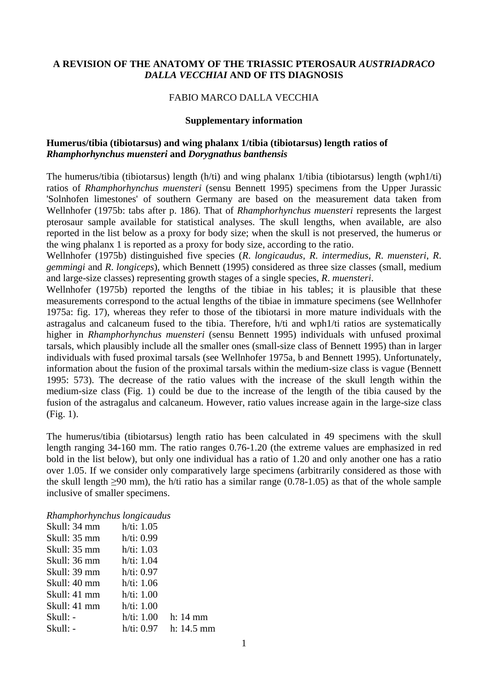## **A REVISION OF THE ANATOMY OF THE TRIASSIC PTEROSAUR** *AUSTRIADRACO DALLA VECCHIAI* **AND OF ITS DIAGNOSIS**

#### FABIO MARCO DALLA VECCHIA

#### **Supplementary information**

### **Humerus/tibia (tibiotarsus) and wing phalanx 1/tibia (tibiotarsus) length ratios of**  *Rhamphorhynchus muensteri* **and** *Dorygnathus banthensis*

The humerus/tibia (tibiotarsus) length (h/ti) and wing phalanx 1/tibia (tibiotarsus) length (wph1/ti) ratios of *Rhamphorhynchus muensteri* (sensu Bennett 1995) specimens from the Upper Jurassic 'Solnhofen limestones' of southern Germany are based on the measurement data taken from Wellnhofer (1975b: tabs after p. 186). That of *Rhamphorhynchus muensteri* represents the largest pterosaur sample available for statistical analyses. The skull lengths, when available, are also reported in the list below as a proxy for body size; when the skull is not preserved, the humerus or the wing phalanx 1 is reported as a proxy for body size, according to the ratio.

Wellnhofer (1975b) distinguished five species (*R*. *longicaudus*, *R*. *intermedius*, *R*. *muensteri*, *R*. *gemmingi* and *R*. *longiceps*), which Bennett (1995) considered as three size classes (small, medium and large-size classes) representing growth stages of a single species, *R*. *muensteri*.

Wellnhofer (1975b) reported the lengths of the tibiae in his tables; it is plausible that these measurements correspond to the actual lengths of the tibiae in immature specimens (see Wellnhofer 1975a: fig. 17), whereas they refer to those of the tibiotarsi in more mature individuals with the astragalus and calcaneum fused to the tibia. Therefore, h/ti and wph1/ti ratios are systematically higher in *Rhamphorhynchus muensteri* (sensu Bennett 1995) individuals with unfused proximal tarsals, which plausibly include all the smaller ones (small-size class of Bennett 1995) than in larger individuals with fused proximal tarsals (see Wellnhofer 1975a, b and Bennett 1995). Unfortunately, information about the fusion of the proximal tarsals within the medium-size class is vague (Bennett 1995: 573). The decrease of the ratio values with the increase of the skull length within the medium-size class (Fig. 1) could be due to the increase of the length of the tibia caused by the fusion of the astragalus and calcaneum. However, ratio values increase again in the large-size class (Fig. 1).

The humerus/tibia (tibiotarsus) length ratio has been calculated in 49 specimens with the skull length ranging 34-160 mm. The ratio ranges 0.76-1.20 (the extreme values are emphasized in red bold in the list below), but only one individual has a ratio of 1.20 and only another one has a ratio over 1.05. If we consider only comparatively large specimens (arbitrarily considered as those with the skull length  $\geq 90$  mm), the h/ti ratio has a similar range (0.78-1.05) as that of the whole sample inclusive of smaller specimens.

| Rhamphorhynchus longicaudus         |               |              |
|-------------------------------------|---------------|--------------|
| Skull: 34 mm                        | $h/ti$ : 1.05 |              |
| Skull: 35 mm                        | h/ti: 0.99    |              |
| Skull: $35 \text{ mm}$ h/ti: $1.03$ |               |              |
| Skull: 36 mm                        | h/ti: 1.04    |              |
| Skull: 39 mm                        | h/ti: 0.97    |              |
| Skull: 40 mm                        | h/ti: 1.06    |              |
| Skull: 41 mm                        | h/ti: 1.00    |              |
| Skull: 41 mm                        | h/ti: 1.00    |              |
| Skull: -                            | h/ti: 1.00    | $h: 14$ mm   |
| Skull: -                            |               | $h: 14.5$ mm |
|                                     |               |              |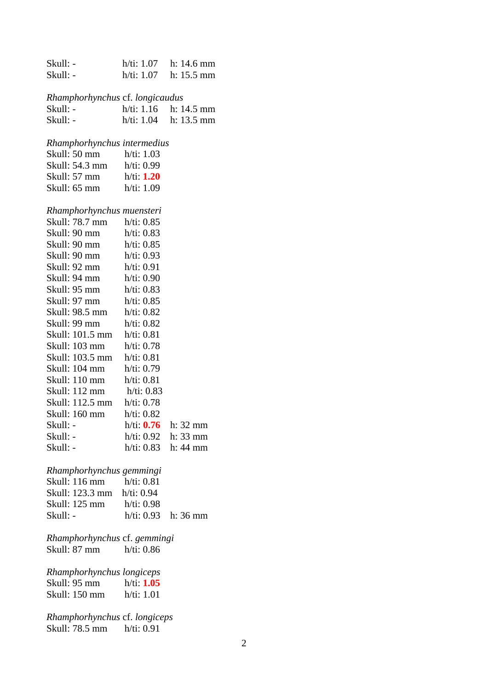| Skull: -                        |                          | h/ti: 1.07 h: 14.6 mm      |
|---------------------------------|--------------------------|----------------------------|
| Skull: -                        |                          | $h/ti$ : 1.07 h: 15.5 mm   |
|                                 |                          |                            |
| Rhamphorhynchus cf. longicaudus |                          |                            |
| Skull: -                        |                          | $h/ti$ : 1.16 $h: 14.5$ mm |
| Skull: -                        |                          | h/ti: 1.04 h: 13.5 mm      |
|                                 |                          |                            |
| Rhamphorhynchus intermedius     |                          |                            |
| Skull: 50 mm h/ti: 1.03         |                          |                            |
| Skull: 54.3 mm h/ti: 0.99       |                          |                            |
| Skull: 57 mm h/ti: 1.20         |                          |                            |
| Skull: 65 mm h/ti: 1.09         |                          |                            |
|                                 |                          |                            |
| Rhamphorhynchus muensteri       |                          |                            |
| Skull: 78.7 mm h/ti: 0.85       |                          |                            |
| Skull: 90 mm $h/ti$ : 0.83      |                          |                            |
|                                 |                          |                            |
| Skull: 90 mm h/ti: 0.85         |                          |                            |
| Skull: 92 mm h/ti: 0.91         |                          |                            |
| Skull: 94 mm $h/ti$ : 0.90      |                          |                            |
|                                 |                          |                            |
|                                 |                          |                            |
| Skull: 97 mm h/ti: 0.85         |                          |                            |
|                                 |                          |                            |
| Skull: 99 mm                    | h/ti: 0.82               |                            |
| Skull: 101.5 mm h/ti: 0.81      |                          |                            |
| Skull: 103 mm h/ti: 0.78        |                          |                            |
| Skull: 103.5 mm h/ti: 0.81      |                          |                            |
| Skull: 104 mm                   | h/ti: 0.79               |                            |
| Skull: 110 mm h/ti: 0.81        |                          |                            |
| Skull: 112 mm h/ti: 0.83        |                          |                            |
| Skull: 112.5 mm h/ti: 0.78      |                          |                            |
| Skull: 160 mm h/ti: 0.82        |                          |                            |
| Skull: -                        | h/ti: $0.76$ h: 32 mm    |                            |
| Skull: -                        | $h/ti: 0.92$ h: 33 mm    |                            |
| Skull: -                        | $h/ti$ : 0.83 $h: 44$ mm |                            |
|                                 |                          |                            |
| Rhamphorhynchus gemmingi        |                          |                            |
| Skull: 116 mm h/ti: 0.81        |                          |                            |
| Skull: 123.3 mm h/ti: 0.94      |                          |                            |
| Skull: 125 mm h/ti: 0.98        |                          |                            |
| Skull: -                        | h/ti: $0.93$ h: 36 mm    |                            |
|                                 |                          |                            |
| Rhamphorhynchus cf. gemmingi    |                          |                            |
| Skull: 87 mm h/ti: 0.86         |                          |                            |
|                                 |                          |                            |
| Rhamphorhynchus longiceps       |                          |                            |
|                                 |                          |                            |
| Skull: 150 mm h/ti: 1.01        |                          |                            |
|                                 |                          |                            |
| Rhamphorhynchus cf. longiceps   |                          |                            |
| Skull: 78.5 mm h/ti: 0.91       |                          |                            |
|                                 |                          |                            |

2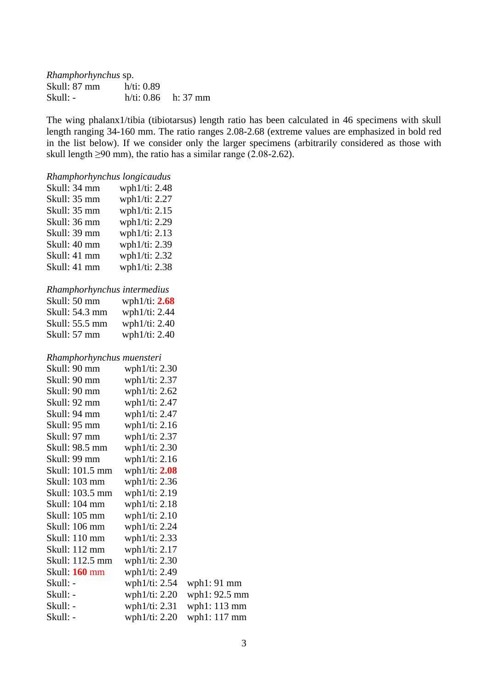| <i>Rhamphorhynchus</i> sp. |            |                       |
|----------------------------|------------|-----------------------|
| Skull: 87 mm               | h/ti: 0.89 |                       |
| Skull: -                   |            | $h/ti: 0.86$ h: 37 mm |

The wing phalanx1/tibia (tibiotarsus) length ratio has been calculated in 46 specimens with skull length ranging 34-160 mm. The ratio ranges 2.08-2.68 (extreme values are emphasized in bold red in the list below). If we consider only the larger specimens (arbitrarily considered as those with skull length  $\geq 90$  mm), the ratio has a similar range (2.08-2.62).

# *Rhamphorhynchus longicaudus* Skull: 34 mm wph1/ti: 2.48 Skull: 35 mm wph1/ti: 2.27 Skull: 35 mm wph1/ti: 2.15 Skull: 36 mm wph1/ti: 2.29 Skull: 39 mm wph1/ti: 2.13 Skull: 40 mm wph1/ti: 2.39 Skull: 41 mm wph1/ti: 2.32 Skull: 41 mm wph1/ti: 2.38 *Rhamphorhynchus intermedius* Skull: 50 mm wph1/ti: **2.68** Skull: 54.3 mm wph1/ti: 2.44 Skull: 55.5 mm wph1/ti: 2.40 Skull: 57 mm wph1/ti: 2.40 *Rhamphorhynchus muensteri* Skull: 90 mm wph1/ti: 2.30 Skull: 90 mm wph1/ti: 2.37 Skull: 90 mm wph1/ti: 2.62 Skull: 92 mm wph1/ti: 2.47 Skull: 94 mm wph1/ti: 2.47 Skull: 95 mm wph1/ti: 2.16 Skull: 97 mm wph1/ti: 2.37 Skull: 98.5 mm wph1/ti: 2.30 Skull: 99 mm wph1/ti: 2.16 Skull: 101.5 mm wph1/ti: **2.08** Skull: 103 mm wph1/ti: 2.36 Skull: 103.5 mm wph1/ti: 2.19 Skull: 104 mm wph1/ti: 2.18 Skull: 105 mm wph1/ti: 2.10 Skull: 106 mm wph1/ti: 2.24 Skull: 110 mm wph1/ti: 2.33 Skull: 112 mm wph1/ti: 2.17 Skull: 112.5 mm wph1/ti: 2.30 Skull: **160** mm wph1/ti: 2.49 Skull: - wph1/ti: 2.54 wph1: 91 mm Skull: - wph1/ti: 2.20 wph1: 92.5 mm Skull: - wph1/ti: 2.31 wph1: 113 mm Skull: - wph1/ti: 2.20 wph1: 117 mm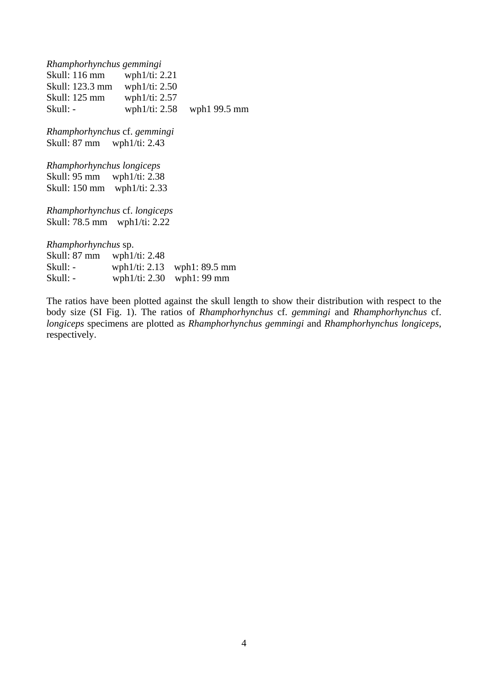*Rhamphorhynchus gemmingi* Skull: 116 mm wph1/ti: 2.21 Skull: 123.3 mm wph1/ti: 2.50 Skull: 125 mm wph1/ti: 2.57 Skull: - wph1/ti: 2.58 wph1 99.5 mm

*Rhamphorhynchus* cf. *gemmingi* Skull: 87 mm wph1/ti: 2.43

*Rhamphorhynchus longiceps* wph $1/ti: 2.38$ Skull: 150 mm wph1/ti: 2.33

*Rhamphorhynchus* cf. *longiceps* Skull: 78.5 mm wph1/ti: 2.22

*Rhamphorhynchus* sp.

| Skull: 87 mm | wph $1/ti: 2.48$ |                               |
|--------------|------------------|-------------------------------|
| Skull: -     |                  | wph1/ti: $2.13$ wph1: 89.5 mm |
| Skull: -     |                  | wph1/ti: $2.30$ wph1: 99 mm   |

The ratios have been plotted against the skull length to show their distribution with respect to the body size (SI Fig. 1). The ratios of *Rhamphorhynchus* cf. *gemmingi* and *Rhamphorhynchus* cf. *longiceps* specimens are plotted as *Rhamphorhynchus gemmingi* and *Rhamphorhynchus longiceps*, respectively.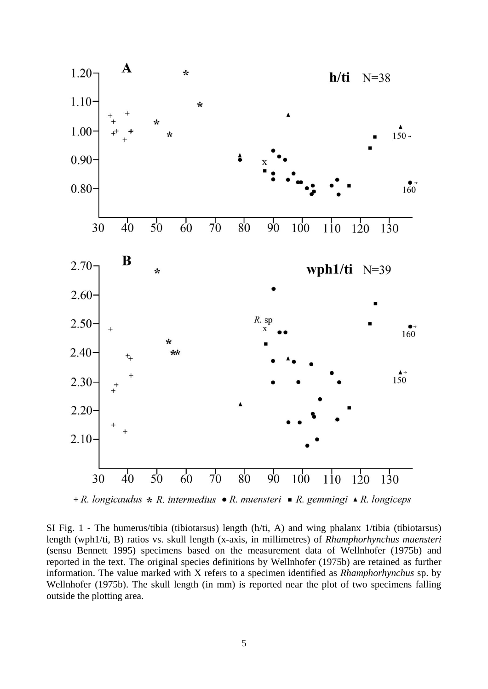

+ R. longicaudus \* R. intermedius • R. muensteri • R. gemmingi • R. longiceps

SI Fig. 1 - The humerus/tibia (tibiotarsus) length (h/ti, A) and wing phalanx 1/tibia (tibiotarsus) length (wph1/ti, B) ratios vs. skull length (x-axis, in millimetres) of *Rhamphorhynchus muensteri* (sensu Bennett 1995) specimens based on the measurement data of Wellnhofer (1975b) and reported in the text. The original species definitions by Wellnhofer (1975b) are retained as further information. The value marked with X refers to a specimen identified as *Rhamphorhynchus* sp. by Wellnhofer (1975b). The skull length (in mm) is reported near the plot of two specimens falling outside the plotting area.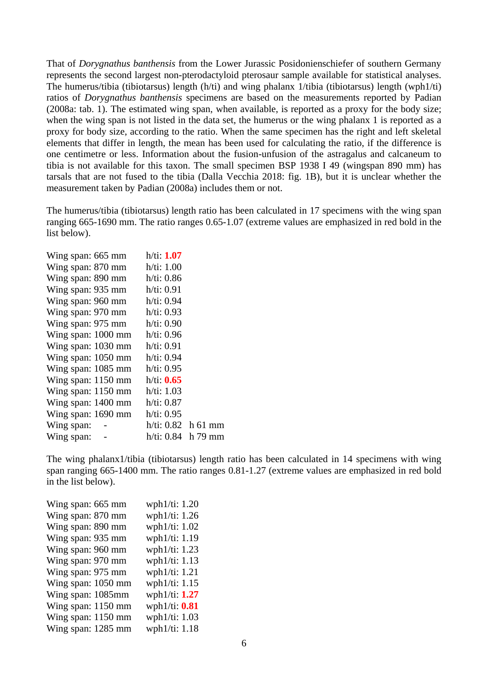That of *Dorygnathus banthensis* from the Lower Jurassic Posidonienschiefer of southern Germany represents the second largest non-pterodactyloid pterosaur sample available for statistical analyses. The humerus/tibia (tibiotarsus) length (h/ti) and wing phalanx 1/tibia (tibiotarsus) length (wph1/ti) ratios of *Dorygnathus banthensis* specimens are based on the measurements reported by Padian (2008a: tab. 1). The estimated wing span, when available, is reported as a proxy for the body size; when the wing span is not listed in the data set, the humerus or the wing phalanx 1 is reported as a proxy for body size, according to the ratio. When the same specimen has the right and left skeletal elements that differ in length, the mean has been used for calculating the ratio, if the difference is one centimetre or less. Information about the fusion-unfusion of the astragalus and calcaneum to tibia is not available for this taxon. The small specimen BSP 1938 I 49 (wingspan 890 mm) has tarsals that are not fused to the tibia (Dalla Vecchia 2018: fig. 1B), but it is unclear whether the measurement taken by Padian (2008a) includes them or not.

The humerus/tibia (tibiotarsus) length ratio has been calculated in 17 specimens with the wing span ranging 665-1690 mm. The ratio ranges 0.65-1.07 (extreme values are emphasized in red bold in the list below).

| Wing span: 665 mm  | h/ti: 1.07           |           |
|--------------------|----------------------|-----------|
| Wing span: 870 mm  | h/ti: 1.00           |           |
| Wing span: 890 mm  | h/ti: 0.86           |           |
| Wing span: 935 mm  | h/ti: 0.91           |           |
| Wing span: 960 mm  | h/ti: 0.94           |           |
| Wing span: 970 mm  | h/ti: 0.93           |           |
| Wing span: 975 mm  | h/ti: 0.90           |           |
| Wing span: 1000 mm | h/ti: 0.96           |           |
| Wing span: 1030 mm | h/ti: 0.91           |           |
| Wing span: 1050 mm | h/ti: 0.94           |           |
| Wing span: 1085 mm | h/ti: 0.95           |           |
| Wing span: 1150 mm | h/ti: 0.65           |           |
| Wing span: 1150 mm | h/ti: 1.03           |           |
| Wing span: 1400 mm | h/ti: 0.87           |           |
| Wing span: 1690 mm | h/ti: 0.95           |           |
| Wing span:         | $h/ti: 0.82$ h 61 mm |           |
| Wing span:         | h/ti: 0.84           | $h$ 79 mm |
|                    |                      |           |

The wing phalanx1/tibia (tibiotarsus) length ratio has been calculated in 14 specimens with wing span ranging 665-1400 mm. The ratio ranges 0.81-1.27 (extreme values are emphasized in red bold in the list below).

| Wing span: 665 mm  | wph1/ti: 1.20    |  |
|--------------------|------------------|--|
| Wing span: 870 mm  | wph1/ti: 1.26    |  |
| Wing span: 890 mm  | wph1/ti: 1.02    |  |
| Wing span: 935 mm  | wph1/ti: 1.19    |  |
| Wing span: 960 mm  | wph1/ti: 1.23    |  |
| Wing span: 970 mm  | wph1/ti: 1.13    |  |
| Wing span: 975 mm  | wph1/ti: 1.21    |  |
| Wing span: 1050 mm | wph1/ti: 1.15    |  |
| Wing span: 1085mm  | wph $1/ti: 1.27$ |  |
| Wing span: 1150 mm | wph $1/ti: 0.81$ |  |
| Wing span: 1150 mm | wph1/ti: 1.03    |  |
| Wing span: 1285 mm | wph1/ti: 1.18    |  |